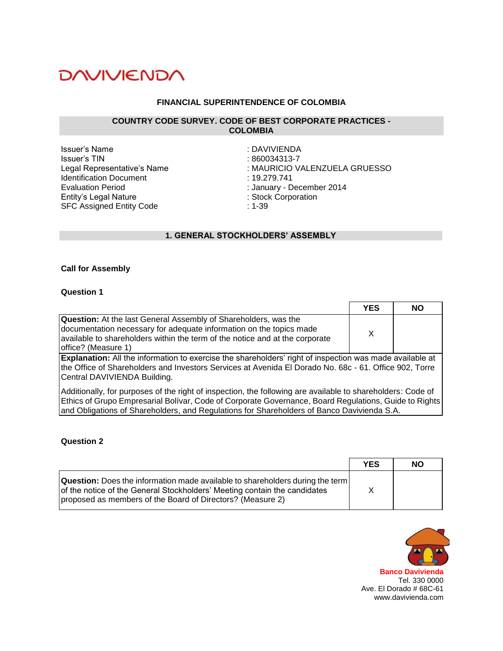## **FINANCIAL SUPERINTENDENCE OF COLOMBIA**

#### **COUNTRY CODE SURVEY. CODE OF BEST CORPORATE PRACTICES - COLOMBIA**

Issuer's Name<br>Issuer's TIN issuer's TIN Identification Document : 19.279.741 Evaluation Period<br>
Entity's Legal Nature<br>
Entity's Legal Nature<br>
Stock Corporation Entity's Legal Nature SFC Assigned Entity Code : 1-39

 $: 860034313 - 7$ Legal Representative's Name : MAURICIO VALENZUELA GRUESSO

# **1. GENERAL STOCKHOLDERS' ASSEMBLY**

#### **Call for Assembly**

#### **Question 1**

|                                                                                                                                                                                                                                                                                                                    | <b>YES</b> | <b>NO</b> |
|--------------------------------------------------------------------------------------------------------------------------------------------------------------------------------------------------------------------------------------------------------------------------------------------------------------------|------------|-----------|
| <b>Question:</b> At the last General Assembly of Shareholders, was the<br>documentation necessary for adequate information on the topics made<br>available to shareholders within the term of the notice and at the corporate<br>office? (Measure 1)                                                               | X          |           |
| Explanation: All the information to exercise the shareholders' right of inspection was made available at<br>the Office of Shareholders and Investors Services at Avenida El Dorado No. 68c - 61. Office 902, Torre<br>Central DAVIVIENDA Building.                                                                 |            |           |
| Additionally, for purposes of the right of inspection, the following are available to shareholders: Code of<br>Ethics of Grupo Empresarial Bolívar, Code of Corporate Governance, Board Regulations, Guide to Rights<br>and Obligations of Shareholders, and Regulations for Shareholders of Banco Davivienda S.A. |            |           |

#### **Question 2**

|                                                                                                                                                                                                                                 | <b>YES</b> | <b>NO</b> |
|---------------------------------------------------------------------------------------------------------------------------------------------------------------------------------------------------------------------------------|------------|-----------|
| <b>Question:</b> Does the information made available to shareholders during the term<br>of the notice of the General Stockholders' Meeting contain the candidates<br>proposed as members of the Board of Directors? (Measure 2) |            |           |

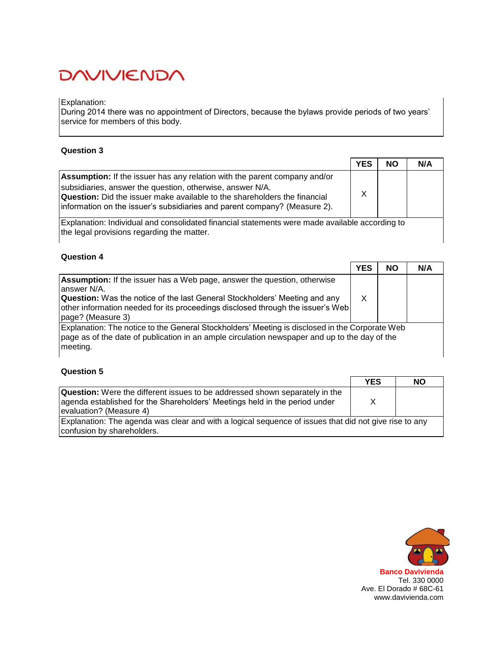#### Explanation:

During 2014 there was no appointment of Directors, because the bylaws provide periods of two years' service for members of this body.

## **Question 3**

|                                                                                                                                                                                                                                                                                                                | <b>YES</b> | <b>NO</b> | N/A |
|----------------------------------------------------------------------------------------------------------------------------------------------------------------------------------------------------------------------------------------------------------------------------------------------------------------|------------|-----------|-----|
| <b>Assumption:</b> If the issuer has any relation with the parent company and/or<br>subsidiaries, answer the question, otherwise, answer N/A.<br><b>Question:</b> Did the issuer make available to the shareholders the financial<br>information on the issuer's subsidiaries and parent company? (Measure 2). | X          |           |     |
| Explanation: Individual and consolidated financial statements were made available according to<br>the legal provisions regarding the matter.                                                                                                                                                                   |            |           |     |

### **Question 4**

|                                                                                                                                                                                                                                                                                             | <b>YES</b> | <b>NO</b> | N/A |
|---------------------------------------------------------------------------------------------------------------------------------------------------------------------------------------------------------------------------------------------------------------------------------------------|------------|-----------|-----|
| <b>Assumption:</b> If the issuer has a Web page, answer the question, otherwise<br>answer N/A.<br><b>Question:</b> Was the notice of the last General Stockholders' Meeting and any<br>other information needed for its proceedings disclosed through the issuer's Web<br>page? (Measure 3) | Χ          |           |     |
| Explanation: The notice to the General Stockholders' Meeting is disclosed in the Corporate Web<br>page as of the date of publication in an ample circulation newspaper and up to the day of the<br>meeting.                                                                                 |            |           |     |

|                                                                                                                                                                                              | <b>YES</b> | NΟ |
|----------------------------------------------------------------------------------------------------------------------------------------------------------------------------------------------|------------|----|
| <b>Question:</b> Were the different issues to be addressed shown separately in the<br>agenda established for the Shareholders' Meetings held in the period under<br>levaluation? (Measure 4) | X          |    |
| Explanation: The agenda was clear and with a logical sequence of issues that did not give rise to any<br>confusion by shareholders.                                                          |            |    |

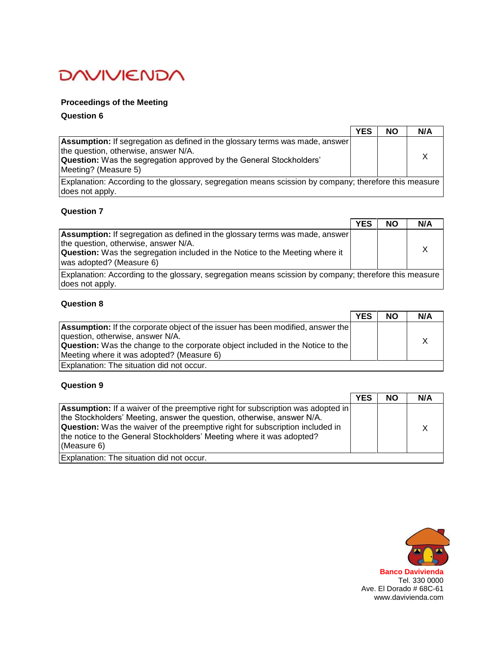# **Proceedings of the Meeting**

## **Question 6**

|                                                                                                                                                                                                                                   | <b>YES</b> | NΟ | N/A |
|-----------------------------------------------------------------------------------------------------------------------------------------------------------------------------------------------------------------------------------|------------|----|-----|
| <b>Assumption:</b> If segregation as defined in the glossary terms was made, answer<br>the question, otherwise, answer N/A.<br><b>Question:</b> Was the segregation approved by the General Stockholders'<br>Meeting? (Measure 5) |            |    |     |
| Explanation: According to the glossary, segregation means scission by company; therefore this measure<br>does not apply.                                                                                                          |            |    |     |

## **Question 7**

|                                                                                                                                                                                                                                         | <b>YES</b> | <b>NO</b> | N/A |
|-----------------------------------------------------------------------------------------------------------------------------------------------------------------------------------------------------------------------------------------|------------|-----------|-----|
| Assumption: If segregation as defined in the glossary terms was made, answer<br>the question, otherwise, answer N/A.<br><b>Question:</b> Was the segregation included in the Notice to the Meeting where it<br>was adopted? (Measure 6) |            |           |     |
| Explanation: According to the glossary, segregation means scission by company; therefore this measure<br>does not apply.                                                                                                                |            |           |     |

# **Question 8**

|                                                                                        | <b>YES</b> | <b>NO</b> | N/A |
|----------------------------------------------------------------------------------------|------------|-----------|-----|
| <b>Assumption:</b> If the corporate object of the issuer has been modified, answer the |            |           |     |
| question, otherwise, answer N/A.                                                       |            |           |     |
| <b>Question:</b> Was the change to the corporate object included in the Notice to the  |            |           |     |
| Meeting where it was adopted? (Measure 6)                                              |            |           |     |
| Explanation: The situation did not occur.                                              |            |           |     |

|                                                                                                                                                                                                                                                                                                                                                  | <b>YES</b> | <b>NO</b> | N/A |
|--------------------------------------------------------------------------------------------------------------------------------------------------------------------------------------------------------------------------------------------------------------------------------------------------------------------------------------------------|------------|-----------|-----|
| <b>Assumption:</b> If a waiver of the preemptive right for subscription was adopted in<br>the Stockholders' Meeting, answer the question, otherwise, answer N/A.<br><b>Question:</b> Was the waiver of the preemptive right for subscription included in<br>the notice to the General Stockholders' Meeting where it was adopted?<br>(Measure 6) |            |           |     |
| Explanation: The situation did not occur.                                                                                                                                                                                                                                                                                                        |            |           |     |

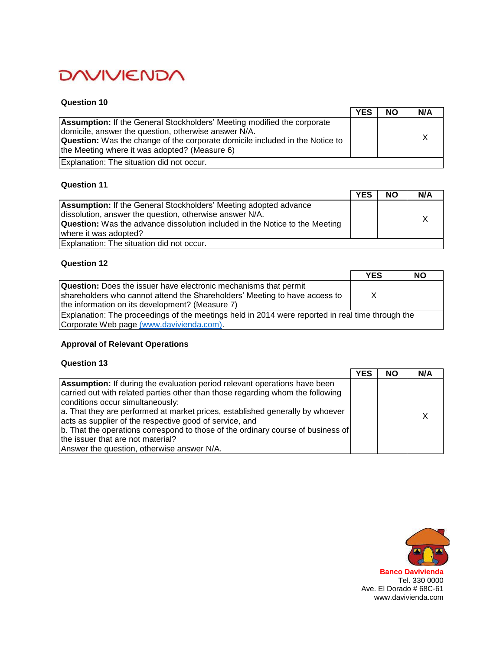#### **Question 10**

|                                                                                                                                                                                                                                                                                | <b>YES</b> | <b>NO</b> | N/A |
|--------------------------------------------------------------------------------------------------------------------------------------------------------------------------------------------------------------------------------------------------------------------------------|------------|-----------|-----|
| <b>Assumption:</b> If the General Stockholders' Meeting modified the corporate<br>domicile, answer the question, otherwise answer N/A.<br><b>Question:</b> Was the change of the corporate domicile included in the Notice to<br>the Meeting where it was adopted? (Measure 6) |            |           |     |
| Explanation: The situation did not occur.                                                                                                                                                                                                                                      |            |           |     |

### **Question 11**

|                                                                                    | <b>YES</b> | <b>NO</b> | N/A |
|------------------------------------------------------------------------------------|------------|-----------|-----|
| <b>Assumption:</b> If the General Stockholders' Meeting adopted advance            |            |           |     |
| dissolution, answer the question, otherwise answer N/A.                            |            |           |     |
| <b>Question:</b> Was the advance dissolution included in the Notice to the Meeting |            |           |     |
| where it was adopted?                                                              |            |           |     |
| Explanation: The situation did not occur.                                          |            |           |     |

## **Question 12**

|                                                                                                  | <b>YES</b> | <b>NO</b> |
|--------------------------------------------------------------------------------------------------|------------|-----------|
| <b>Question:</b> Does the issuer have electronic mechanisms that permit                          |            |           |
| shareholders who cannot attend the Shareholders' Meeting to have access to                       | X          |           |
| the information on its development? (Measure 7)                                                  |            |           |
| Explanation: The proceedings of the meetings held in 2014 were reported in real time through the |            |           |
| Corporate Web page (www.davivienda.com).                                                         |            |           |

# **Approval of Relevant Operations**

|                                                                                                                    | <b>YES</b> | <b>NO</b> | N/A |
|--------------------------------------------------------------------------------------------------------------------|------------|-----------|-----|
| <b>Assumption:</b> If during the evaluation period relevant operations have been                                   |            |           |     |
| carried out with related parties other than those regarding whom the following<br>conditions occur simultaneously: |            |           |     |
| a. That they are performed at market prices, established generally by whoever                                      |            |           |     |
| acts as supplier of the respective good of service, and                                                            |            |           |     |
| b. That the operations correspond to those of the ordinary course of business of                                   |            |           |     |
| the issuer that are not material?                                                                                  |            |           |     |
| Answer the question, otherwise answer N/A.                                                                         |            |           |     |

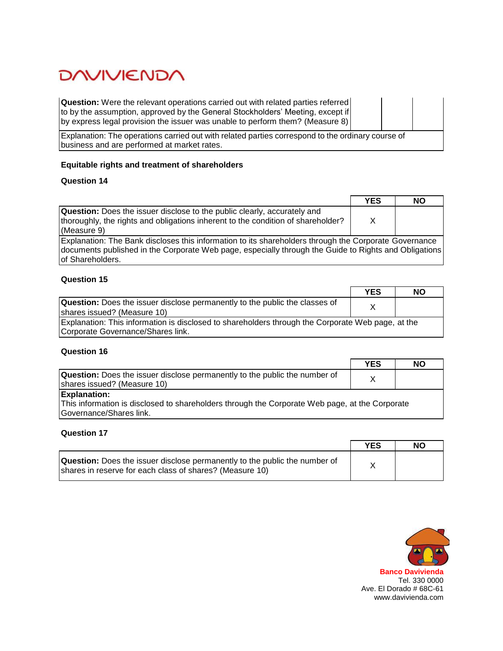**Question:** Were the relevant operations carried out with related parties referred to by the assumption, approved by the General Stockholders' Meeting, except if by express legal provision the issuer was unable to perform them? (Measure 8)

Explanation: The operations carried out with related parties correspond to the ordinary course of business and are performed at market rates.

#### **Equitable rights and treatment of shareholders**

# **Question 14**

|                                                                                                                                                                                                                                    | <b>YES</b> | <b>NO</b> |
|------------------------------------------------------------------------------------------------------------------------------------------------------------------------------------------------------------------------------------|------------|-----------|
| <b>Question:</b> Does the issuer disclose to the public clearly, accurately and<br>thoroughly, the rights and obligations inherent to the condition of shareholder?<br>(Measure 9)                                                 | X          |           |
| Explanation: The Bank discloses this information to its shareholders through the Corporate Governance<br>documents published in the Corporate Web page, especially through the Guide to Rights and Obligations<br>of Shareholders. |            |           |

**Question 15**

|                                                                                                                                        | <b>YES</b> | <b>NO</b> |
|----------------------------------------------------------------------------------------------------------------------------------------|------------|-----------|
| <b>Question:</b> Does the issuer disclose permanently to the public the classes of<br>shares issued? (Measure 10)                      |            |           |
| Explanation: This information is disclosed to shareholders through the Corporate Web page, at the<br>Corporate Governance/Shares link. |            |           |

#### **Question 16**

|                                                                                                | <b>YES</b> | NO |
|------------------------------------------------------------------------------------------------|------------|----|
| <b>Question:</b> Does the issuer disclose permanently to the public the number of              |            |    |
| shares issued? (Measure 10)                                                                    |            |    |
| <b>Explanation:</b>                                                                            |            |    |
| This information is disclosed to shareholders through the Corporate Web page, at the Corporate |            |    |
| Governance/Shares link.                                                                        |            |    |

|                                                                                                                                               | <b>YES</b> | <b>NO</b> |
|-----------------------------------------------------------------------------------------------------------------------------------------------|------------|-----------|
| <b>Question:</b> Does the issuer disclose permanently to the public the number of<br>shares in reserve for each class of shares? (Measure 10) |            |           |

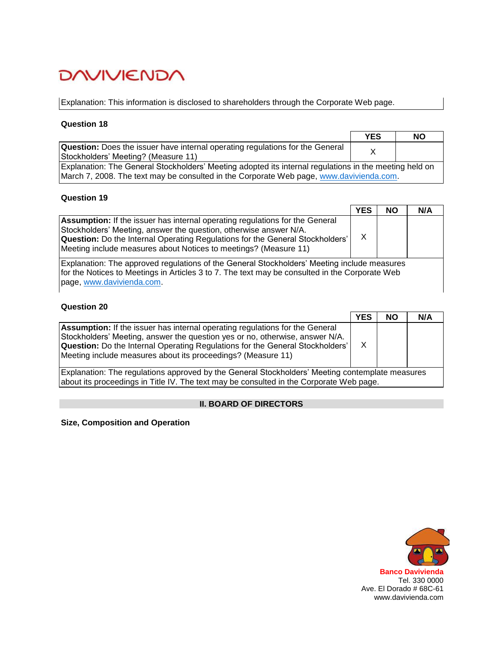Explanation: This information is disclosed to shareholders through the Corporate Web page.

### **Question 18**

|                                                                                                        | <b>YES</b> | <b>NO</b> |
|--------------------------------------------------------------------------------------------------------|------------|-----------|
| <b>Question:</b> Does the issuer have internal operating regulations for the General                   |            |           |
| Stockholders' Meeting? (Measure 11)                                                                    |            |           |
| Explanation: The General Stockholders' Meeting adopted its internal regulations in the meeting held on |            |           |
| March 7, 2008. The text may be consulted in the Corporate Web page, www.davivienda.com.                |            |           |

#### **Question 19**

|                                                                                                                                                                                                                                                                                                                      | <b>YES</b> | <b>NO</b> | N/A |
|----------------------------------------------------------------------------------------------------------------------------------------------------------------------------------------------------------------------------------------------------------------------------------------------------------------------|------------|-----------|-----|
| <b>Assumption:</b> If the issuer has internal operating regulations for the General<br>Stockholders' Meeting, answer the question, otherwise answer N/A.<br><b>Question:</b> Do the Internal Operating Regulations for the General Stockholders'<br>Meeting include measures about Notices to meetings? (Measure 11) | х          |           |     |

Explanation: The approved regulations of the General Stockholders' Meeting include measures for the Notices to Meetings in Articles 3 to 7. The text may be consulted in the Corporate Web page, [www.davivienda.com.](http://www.davivienda.com/)

#### **Question 20**

|                                                                                                                                                                                                                                                                                                                             | <b>YES</b> | <b>NO</b> | N/A |
|-----------------------------------------------------------------------------------------------------------------------------------------------------------------------------------------------------------------------------------------------------------------------------------------------------------------------------|------------|-----------|-----|
| <b>Assumption:</b> If the issuer has internal operating regulations for the General<br>Stockholders' Meeting, answer the question yes or no, otherwise, answer N/A.<br><b>Question:</b> Do the Internal Operating Regulations for the General Stockholders'<br>Meeting include measures about its proceedings? (Measure 11) |            |           |     |
| Explanation: The regulations approved by the General Stockholders' Meeting contemplate measures                                                                                                                                                                                                                             |            |           |     |

about its proceedings in Title IV. The text may be consulted in the Corporate Web page.

#### **II. BOARD OF DIRECTORS**

**Size, Composition and Operation**

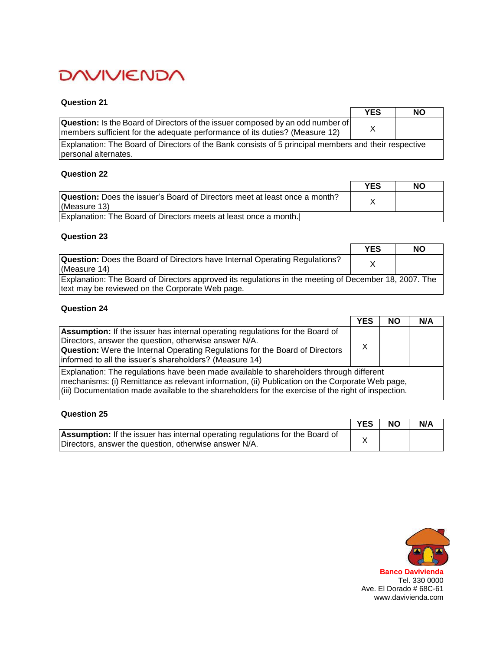#### **Question 21**

|                                                                                                                                                                      | <b>YES</b> | <b>NO</b> |
|----------------------------------------------------------------------------------------------------------------------------------------------------------------------|------------|-----------|
| <b>Question:</b> Is the Board of Directors of the issuer composed by an odd number of<br>members sufficient for the adequate performance of its duties? (Measure 12) |            |           |
| Explanation: The Board of Directors of the Bank consists of 5 principal members and their respective<br>personal alternates.                                         |            |           |

#### **Question 22**

|                                                                                                   | <b>YES</b> | NO |
|---------------------------------------------------------------------------------------------------|------------|----|
| <b>Question:</b> Does the issuer's Board of Directors meet at least once a month?<br>(Measure 13) |            |    |
| Explanation: The Board of Directors meets at least once a month.                                  |            |    |

### **Question 23**

|                                                                                                                                                          | <b>YES</b> | <b>NO</b> |
|----------------------------------------------------------------------------------------------------------------------------------------------------------|------------|-----------|
| <b>Question:</b> Does the Board of Directors have Internal Operating Regulations?<br>(Measure 14)                                                        |            |           |
| Explanation: The Board of Directors approved its regulations in the meeting of December 18, 2007. The<br>text may be reviewed on the Corporate Web page. |            |           |

# **Question 24**

|                                                                                                                                                                                                                                                                                                 | <b>YES</b> | <b>NO</b> | N/A |
|-------------------------------------------------------------------------------------------------------------------------------------------------------------------------------------------------------------------------------------------------------------------------------------------------|------------|-----------|-----|
| <b>Assumption:</b> If the issuer has internal operating regulations for the Board of<br>Directors, answer the question, otherwise answer N/A.<br><b>Question:</b> Were the Internal Operating Regulations for the Board of Directors<br>informed to all the issuer's shareholders? (Measure 14) |            |           |     |
| $\Box$ Evalopation: The requistions have been made available to shareholders through different                                                                                                                                                                                                  |            |           |     |

Explanation: The regulations have been made available to shareholders through different mechanisms: (i) Remittance as relevant information, (ii) Publication on the Corporate Web page, (iii) Documentation made available to the shareholders for the exercise of the right of inspection.

### **Question 25**

|                                                                                      | <b>YES</b> | <b>NO</b> | N/A |
|--------------------------------------------------------------------------------------|------------|-----------|-----|
| <b>Assumption:</b> If the issuer has internal operating regulations for the Board of |            |           |     |
| Directors, answer the question, otherwise answer N/A.                                |            |           |     |

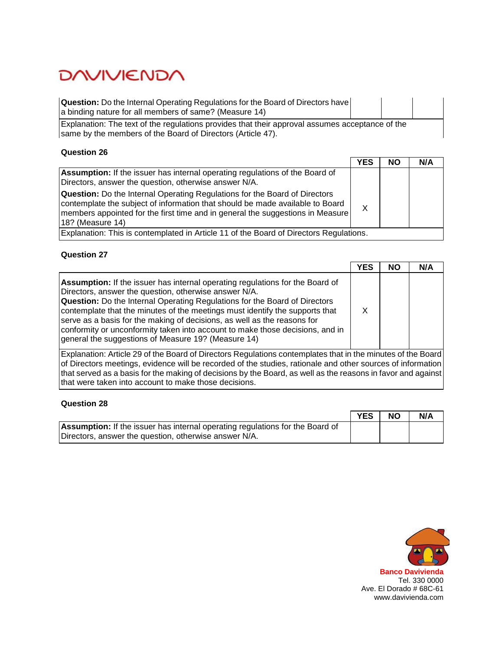| <b>Question:</b> Do the Internal Operating Regulations for the Board of Directors have<br>a binding nature for all members of same? (Measure 14)               |  |  |
|----------------------------------------------------------------------------------------------------------------------------------------------------------------|--|--|
| Explanation: The text of the regulations provides that their approval assumes acceptance of the<br>same by the members of the Board of Directors (Article 47). |  |  |

#### **Question 26**

|                                                                                                                                                                                                                                                                           | <b>YES</b> | <b>NO</b> | N/A |
|---------------------------------------------------------------------------------------------------------------------------------------------------------------------------------------------------------------------------------------------------------------------------|------------|-----------|-----|
| <b>Assumption:</b> If the issuer has internal operating regulations of the Board of<br>Directors, answer the question, otherwise answer N/A.                                                                                                                              |            |           |     |
| <b>Question:</b> Do the Internal Operating Regulations for the Board of Directors<br>contemplate the subject of information that should be made available to Board<br> members appointed for the first time and in general the suggestions in Measure<br>18? (Measure 14) | X          |           |     |
| Explanation: This is contemplated in Article 11 of the Board of Directors Regulations.                                                                                                                                                                                    |            |           |     |

# **Question 27**

|                                                                                                                                                                                                                                                                                                                                                                                                                                                                                                                                        | <b>YES</b> | <b>NO</b> | N/A |  |
|----------------------------------------------------------------------------------------------------------------------------------------------------------------------------------------------------------------------------------------------------------------------------------------------------------------------------------------------------------------------------------------------------------------------------------------------------------------------------------------------------------------------------------------|------------|-----------|-----|--|
| <b>Assumption:</b> If the issuer has internal operating regulations for the Board of<br>Directors, answer the question, otherwise answer N/A.<br><b>Question:</b> Do the Internal Operating Regulations for the Board of Directors<br>contemplate that the minutes of the meetings must identify the supports that<br>serve as a basis for the making of decisions, as well as the reasons for<br>conformity or unconformity taken into account to make those decisions, and in<br>general the suggestions of Measure 19? (Measure 14) | X          |           |     |  |
| Explanation: Article 29 of the Board of Directors Regulations contemplates that in the minutes of the Board<br>of Directors meetings, evidence will be recorded of the studies, rationale and other sources of information<br>that served as a basis for the making of decisions by the Board, as well as the reasons in favor and against<br>that were taken into account to make those decisions.                                                                                                                                    |            |           |     |  |

|                                                                                      | <b>YES</b> | <b>NO</b> | N/A |
|--------------------------------------------------------------------------------------|------------|-----------|-----|
| <b>Assumption:</b> If the issuer has internal operating regulations for the Board of |            |           |     |
| Directors, answer the question, otherwise answer N/A.                                |            |           |     |

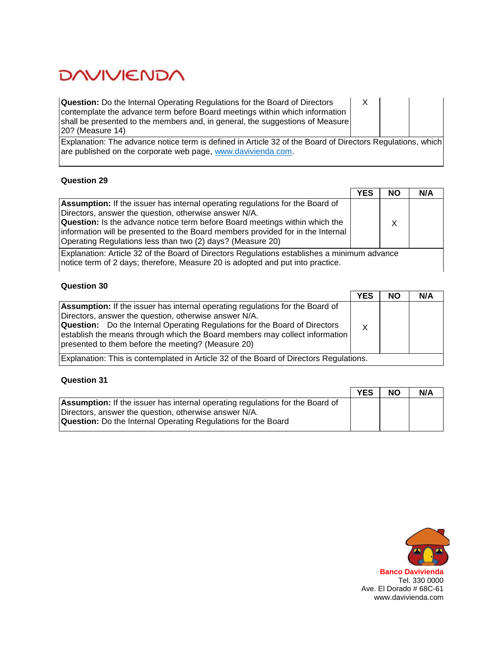**Question:** Do the Internal Operating Regulations for the Board of Directors contemplate the advance term before Board meetings within which information shall be presented to the members and, in general, the suggestions of Measure 20? (Measure 14)

X

Explanation: The advance notice term is defined in Article 32 of the Board of Directors Regulations, which are published on the corporate web page, [www.davivienda.com.](http://www.davivienda.com/)

### **Question 29**

|                                                                                                                                               | <b>YES</b> | <b>NO</b> | N/A |
|-----------------------------------------------------------------------------------------------------------------------------------------------|------------|-----------|-----|
| <b>Assumption:</b> If the issuer has internal operating regulations for the Board of                                                          |            |           |     |
| Directors, answer the question, otherwise answer N/A.<br><b>Question:</b> Is the advance notice term before Board meetings within which the   |            | X.        |     |
| information will be presented to the Board members provided for in the Internal<br>Operating Regulations less than two (2) days? (Measure 20) |            |           |     |
| Explanation: Article 32 of the Board of Directors Regulations establishes a minimum advance                                                   |            |           |     |

notice term of 2 days; therefore, Measure 20 is adopted and put into practice.

# **Question 30**

|                                                                                                                                                                                                                                                                                                                                                                  | <b>YES</b> | <b>NO</b> | N/A |
|------------------------------------------------------------------------------------------------------------------------------------------------------------------------------------------------------------------------------------------------------------------------------------------------------------------------------------------------------------------|------------|-----------|-----|
| Assumption: If the issuer has internal operating regulations for the Board of<br>Directors, answer the question, otherwise answer N/A.<br><b>Question:</b> Do the Internal Operating Regulations for the Board of Directors<br>establish the means through which the Board members may collect information<br>presented to them before the meeting? (Measure 20) |            |           |     |
| Explanation: This is contemplated in Article 32 of the Board of Directors Regulations.                                                                                                                                                                                                                                                                           |            |           |     |

|                                                                                      | <b>YES</b> | <b>NO</b> | N/A |
|--------------------------------------------------------------------------------------|------------|-----------|-----|
| <b>Assumption:</b> If the issuer has internal operating regulations for the Board of |            |           |     |
| Directors, answer the question, otherwise answer N/A.                                |            |           |     |
| <b>Question:</b> Do the Internal Operating Regulations for the Board                 |            |           |     |

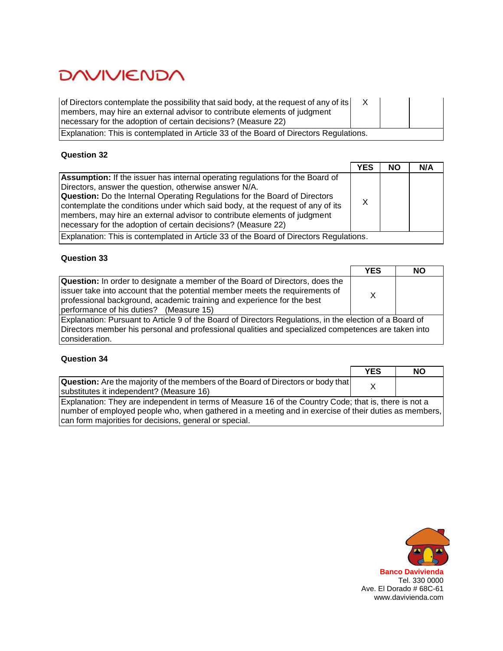| of Directors contemplate the possibility that said body, at the request of any of its<br>members, may hire an external advisor to contribute elements of judgment<br>necessary for the adoption of certain decisions? (Measure 22) |  |  |  |  |
|------------------------------------------------------------------------------------------------------------------------------------------------------------------------------------------------------------------------------------|--|--|--|--|
| Explanation: This is contemplated in Article 33 of the Board of Directors Regulations.                                                                                                                                             |  |  |  |  |

# **Question 32**

|                                                                                                                                                                                                                                                                                                                                                                                                                                                            | <b>YES</b> | <b>NO</b> | N/A |
|------------------------------------------------------------------------------------------------------------------------------------------------------------------------------------------------------------------------------------------------------------------------------------------------------------------------------------------------------------------------------------------------------------------------------------------------------------|------------|-----------|-----|
| Assumption: If the issuer has internal operating regulations for the Board of<br>Directors, answer the question, otherwise answer N/A.<br><b>Question:</b> Do the Internal Operating Regulations for the Board of Directors<br>contemplate the conditions under which said body, at the request of any of its<br>members, may hire an external advisor to contribute elements of judgment<br>necessary for the adoption of certain decisions? (Measure 22) |            |           |     |
| Explanation: This is contemplated in Article 33 of the Board of Directors Regulations.                                                                                                                                                                                                                                                                                                                                                                     |            |           |     |

## **Question 33**

|                                                                                                                                                                                                                                                                                   | <b>YES</b> | <b>NO</b> |
|-----------------------------------------------------------------------------------------------------------------------------------------------------------------------------------------------------------------------------------------------------------------------------------|------------|-----------|
| Question: In order to designate a member of the Board of Directors, does the<br>Issuer take into account that the potential member meets the requirements of<br>professional background, academic training and experience for the best<br>performance of his duties? (Measure 15) | X          |           |
| Explanation: Pursuant to Article 9 of the Board of Directors Regulations, in the election of a Board of<br>Directors member his personal and professional qualities and specialized competences are taken into<br>consideration.                                                  |            |           |

|                                                                                                       | <b>YES</b> | <b>NO</b> |
|-------------------------------------------------------------------------------------------------------|------------|-----------|
| <b>Question:</b> Are the majority of the members of the Board of Directors or body that               |            |           |
| substitutes it independent? (Measure 16)                                                              |            |           |
| Explanation: They are independent in terms of Measure 16 of the Country Code; that is, there is not a |            |           |
| number of employed people who, when gathered in a meeting and in exercise of their duties as members, |            |           |
| can form majorities for decisions, general or special.                                                |            |           |

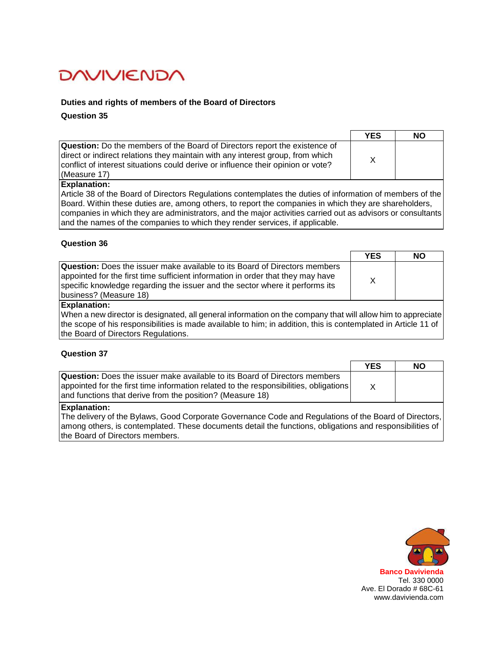#### **Duties and rights of members of the Board of Directors**

**Question 35**

|                                                                                                                                                                                                                                                                         | <b>YES</b> | <b>NO</b> |
|-------------------------------------------------------------------------------------------------------------------------------------------------------------------------------------------------------------------------------------------------------------------------|------------|-----------|
| <b>Question:</b> Do the members of the Board of Directors report the existence of<br>direct or indirect relations they maintain with any interest group, from which<br>conflict of interest situations could derive or influence their opinion or vote?<br>(Measure 17) |            |           |
|                                                                                                                                                                                                                                                                         |            |           |

#### **Explanation:**

Article 38 of the Board of Directors Regulations contemplates the duties of information of members of the Board. Within these duties are, among others, to report the companies in which they are shareholders, companies in which they are administrators, and the major activities carried out as advisors or consultants and the names of the companies to which they render services, if applicable.

#### **Question 36**

|                                                                                                                                                                                                                                                                                | <b>YES</b> | NO |
|--------------------------------------------------------------------------------------------------------------------------------------------------------------------------------------------------------------------------------------------------------------------------------|------------|----|
| <b>Question:</b> Does the issuer make available to its Board of Directors members<br>appointed for the first time sufficient information in order that they may have<br>specific knowledge regarding the issuer and the sector where it performs its<br>business? (Measure 18) |            |    |
|                                                                                                                                                                                                                                                                                |            |    |

#### **Explanation:**

When a new director is designated, all general information on the company that will allow him to appreciate the scope of his responsibilities is made available to him; in addition, this is contemplated in Article 11 of the Board of Directors Regulations.

#### **Question 37**

|                                                                                                                                                                                                                                          | <b>YES</b> | <b>NO</b> |
|------------------------------------------------------------------------------------------------------------------------------------------------------------------------------------------------------------------------------------------|------------|-----------|
| <b>Question:</b> Does the issuer make available to its Board of Directors members<br> appointed for the first time information related to the responsibilities, obligations<br>and functions that derive from the position? (Measure 18) |            |           |
| Evnlanation:                                                                                                                                                                                                                             |            |           |

#### **Explanation:**

The delivery of the Bylaws, Good Corporate Governance Code and Regulations of the Board of Directors, among others, is contemplated. These documents detail the functions, obligations and responsibilities of the Board of Directors members.

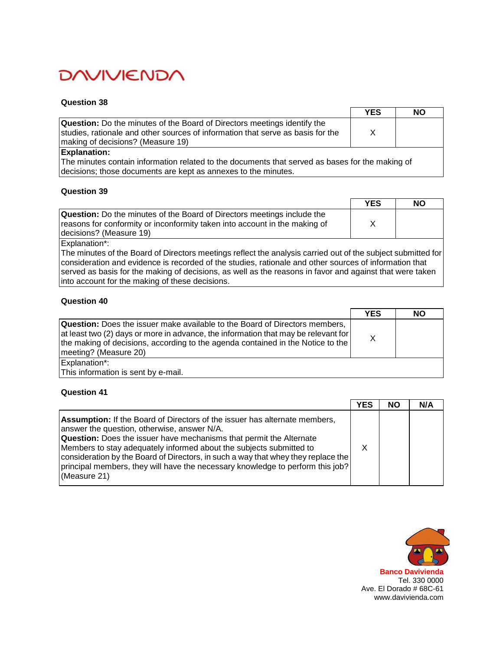#### **Question 38**

| <b>Question:</b> Do the minutes of the Board of Directors meetings identify the<br>studies, rationale and other sources of information that serve as basis for the<br>making of decisions? (Measure 19) | <b>YES</b> | <b>NO</b> |
|---------------------------------------------------------------------------------------------------------------------------------------------------------------------------------------------------------|------------|-----------|
|                                                                                                                                                                                                         |            |           |
| <b>Explanation:</b>                                                                                                                                                                                     |            |           |

The minutes contain information related to the documents that served as bases for the making of decisions; those documents are kept as annexes to the minutes.

### **Question 39**

|                                                                                | <b>YES</b> | NO |
|--------------------------------------------------------------------------------|------------|----|
| <b>Question:</b> Do the minutes of the Board of Directors meetings include the |            |    |
| reasons for conformity or inconformity taken into account in the making of     |            |    |
| decisions? (Measure 19)                                                        |            |    |
|                                                                                |            |    |

Explanation\*:

The minutes of the Board of Directors meetings reflect the analysis carried out of the subject submitted for consideration and evidence is recorded of the studies, rationale and other sources of information that served as basis for the making of decisions, as well as the reasons in favor and against that were taken into account for the making of these decisions.

### **Question 40**

|                                                                                                                                                                                                                                                                                              | <b>YES</b> | <b>NO</b> |
|----------------------------------------------------------------------------------------------------------------------------------------------------------------------------------------------------------------------------------------------------------------------------------------------|------------|-----------|
| <b>Question:</b> Does the issuer make available to the Board of Directors members,<br>$\vert$ at least two (2) days or more in advance, the information that may be relevant for<br>the making of decisions, according to the agenda contained in the Notice to the<br>meeting? (Measure 20) | X          |           |
| Explanation*:<br>This information is sent by e-mail.                                                                                                                                                                                                                                         |            |           |
|                                                                                                                                                                                                                                                                                              |            |           |

|                                                                                                                                                                                                                                                                                                                                                                                                                                                                       | <b>YES</b> | <b>NO</b> | N/A |
|-----------------------------------------------------------------------------------------------------------------------------------------------------------------------------------------------------------------------------------------------------------------------------------------------------------------------------------------------------------------------------------------------------------------------------------------------------------------------|------------|-----------|-----|
| Assumption: If the Board of Directors of the issuer has alternate members,<br>answer the question, otherwise, answer N/A.<br><b>Question:</b> Does the issuer have mechanisms that permit the Alternate<br>Members to stay adequately informed about the subjects submitted to<br>consideration by the Board of Directors, in such a way that whey they replace the<br>principal members, they will have the necessary knowledge to perform this job?<br>(Measure 21) |            |           |     |

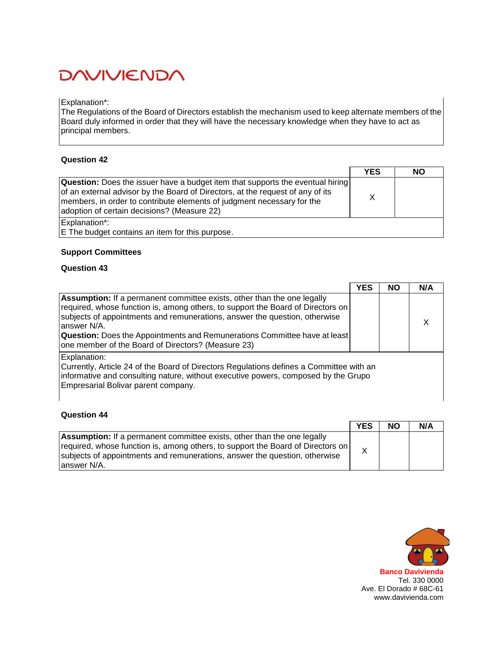#### Explanation\*:

The Regulations of the Board of Directors establish the mechanism used to keep alternate members of the Board duly informed in order that they will have the necessary knowledge when they have to act as principal members.

### **Question 42**

|                                                                                                                                                                                                                                                                                                  | <b>YES</b> | NΟ |
|--------------------------------------------------------------------------------------------------------------------------------------------------------------------------------------------------------------------------------------------------------------------------------------------------|------------|----|
| <b>Question:</b> Does the issuer have a budget item that supports the eventual hiring<br>of an external advisor by the Board of Directors, at the request of any of its<br>members, in order to contribute elements of judgment necessary for the<br>adoption of certain decisions? (Measure 22) |            |    |
| Explanation*:<br>E The budget contains an item for this purpose.                                                                                                                                                                                                                                 |            |    |

### **Support Committees**

## **Question 43**

|                                                                                                                                                                                                                                                                                                                                                                                                          | <b>YES</b> | <b>NO</b> | N/A |
|----------------------------------------------------------------------------------------------------------------------------------------------------------------------------------------------------------------------------------------------------------------------------------------------------------------------------------------------------------------------------------------------------------|------------|-----------|-----|
| <b>Assumption:</b> If a permanent committee exists, other than the one legally<br>required, whose function is, among others, to support the Board of Directors on<br>subjects of appointments and remunerations, answer the question, otherwise<br>answer N/A.<br><b>Question:</b> Does the Appointments and Remunerations Committee have at least<br>one member of the Board of Directors? (Measure 23) |            |           |     |
| Explanation:<br>Currently, Article 24 of the Board of Directors Regulations defines a Committee with an<br>informative and consulting nature, without executive powers, composed by the Grupo<br>Empresarial Bolivar parent company.                                                                                                                                                                     |            |           |     |

|                                                                                                                                                                                                                                                                  | <b>YES</b> | <b>NO</b> | N/A |
|------------------------------------------------------------------------------------------------------------------------------------------------------------------------------------------------------------------------------------------------------------------|------------|-----------|-----|
| <b>Assumption:</b> If a permanent committee exists, other than the one legally<br> required, whose function is, among others, to support the Board of Directors on<br>subjects of appointments and remunerations, answer the question, otherwise<br>lanswer N/A. |            |           |     |

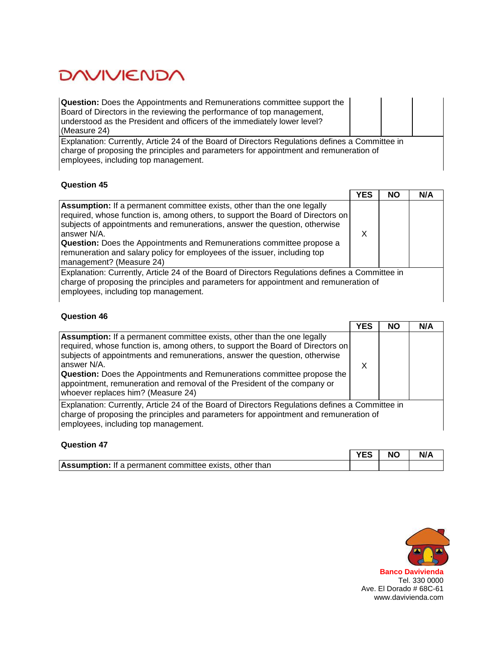| <b>Question:</b> Does the Appointments and Remunerations committee support the<br>Board of Directors in the reviewing the performance of top management,<br>understood as the President and officers of the immediately lower level?<br>(Measure 24) |  |  |
|------------------------------------------------------------------------------------------------------------------------------------------------------------------------------------------------------------------------------------------------------|--|--|
| Explanation: Currently, Article 24 of the Board of Directors Regulations defines a Committee in<br>charge of proposing the principles and parameters for appointment and remuneration of<br>employees, including top management.                     |  |  |

### **Question 45**

|                                                                                                                                                                                                                                                                                                                                                                                                                                                         | <b>YES</b> | NΟ | N/A |
|---------------------------------------------------------------------------------------------------------------------------------------------------------------------------------------------------------------------------------------------------------------------------------------------------------------------------------------------------------------------------------------------------------------------------------------------------------|------------|----|-----|
| <b>Assumption:</b> If a permanent committee exists, other than the one legally<br>required, whose function is, among others, to support the Board of Directors on<br>subjects of appointments and remunerations, answer the question, otherwise<br>answer N/A.<br><b>Question:</b> Does the Appointments and Remunerations committee propose a<br>remuneration and salary policy for employees of the issuer, including top<br>management? (Measure 24) | х          |    |     |
| Explanation: Currently, Article 24 of the Board of Directors Regulations defines a Committee in<br>charge of proposing the principles and parameters for appointment and remuneration of<br>employees, including top management.                                                                                                                                                                                                                        |            |    |     |

|                                                                                                                                                                                                                                                                                                                                                                                                                                                                    | <b>YES</b> | <b>NO</b> | N/A |
|--------------------------------------------------------------------------------------------------------------------------------------------------------------------------------------------------------------------------------------------------------------------------------------------------------------------------------------------------------------------------------------------------------------------------------------------------------------------|------------|-----------|-----|
| <b>Assumption:</b> If a permanent committee exists, other than the one legally<br>required, whose function is, among others, to support the Board of Directors on<br>subjects of appointments and remunerations, answer the question, otherwise<br>answer N/A.<br><b>Question:</b> Does the Appointments and Remunerations committee propose the<br>appointment, remuneration and removal of the President of the company or<br>whoever replaces him? (Measure 24) | X          |           |     |
| Explanation: Currently, Article 24 of the Board of Directors Regulations defines a Committee in<br>charge of proposing the principles and parameters for appointment and remuneration of<br>employees, including top management.                                                                                                                                                                                                                                   |            |           |     |

| <b>Question 47</b>                                             |            |           |     |
|----------------------------------------------------------------|------------|-----------|-----|
|                                                                | <b>YES</b> | <b>NO</b> | N/A |
| <b>Assumption:</b> If a permanent committee exists, other than |            |           |     |

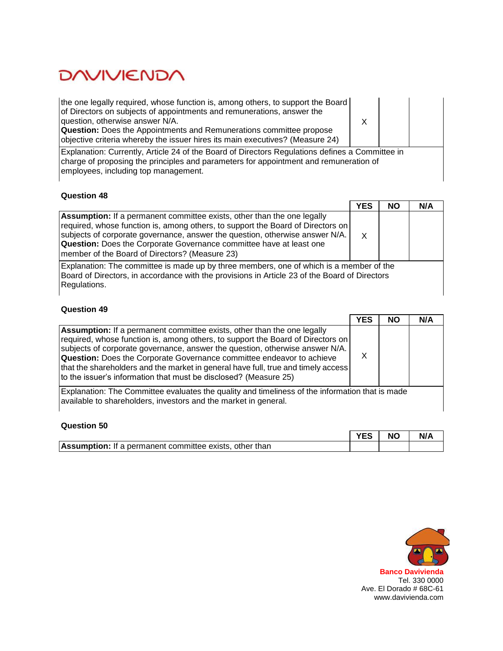the one legally required, whose function is, among others, to support the Board of Directors on subjects of appointments and remunerations, answer the question, otherwise answer N/A. **Question:** Does the Appointments and Remunerations committee propose objective criteria whereby the issuer hires its main executives? (Measure 24)

X

Explanation: Currently, Article 24 of the Board of Directors Regulations defines a Committee in charge of proposing the principles and parameters for appointment and remuneration of employees, including top management.

# **Question 48**

|                                                                                                                                                                                                                                                                                                                                                                            | <b>YES</b> | <b>NO</b> | N/A |
|----------------------------------------------------------------------------------------------------------------------------------------------------------------------------------------------------------------------------------------------------------------------------------------------------------------------------------------------------------------------------|------------|-----------|-----|
| <b>Assumption:</b> If a permanent committee exists, other than the one legally<br>required, whose function is, among others, to support the Board of Directors on<br>subjects of corporate governance, answer the question, otherwise answer N/A.<br>Question: Does the Corporate Governance committee have at least one<br>member of the Board of Directors? (Measure 23) | X          |           |     |
| Explanation: The committee is made up by three members, one of which is a member of the<br>Board of Directors, in accordance with the provisions in Article 23 of the Board of Directors<br>Regulations.                                                                                                                                                                   |            |           |     |

|                                                                                                                                                                                                                                                                                                                                                                                                                                                                                            | <b>YES</b> | <b>NO</b> | N/A |
|--------------------------------------------------------------------------------------------------------------------------------------------------------------------------------------------------------------------------------------------------------------------------------------------------------------------------------------------------------------------------------------------------------------------------------------------------------------------------------------------|------------|-----------|-----|
| <b>Assumption:</b> If a permanent committee exists, other than the one legally<br>required, whose function is, among others, to support the Board of Directors on<br>subjects of corporate governance, answer the question, otherwise answer N/A.<br><b>Question:</b> Does the Corporate Governance committee endeavor to achieve<br>that the shareholders and the market in general have full, true and timely access<br>to the issuer's information that must be disclosed? (Measure 25) |            |           |     |
| Explanation: The Committee evaluates the quality and timeliness of the information that is made<br>available to shareholders, investors and the market in general.                                                                                                                                                                                                                                                                                                                         |            |           |     |
| Question 50                                                                                                                                                                                                                                                                                                                                                                                                                                                                                |            |           |     |

|                                                                | <b>YES</b> | <b>NO</b> | N/A |
|----------------------------------------------------------------|------------|-----------|-----|
| <b>Assumption:</b> If a permanent committee exists, other than |            |           |     |

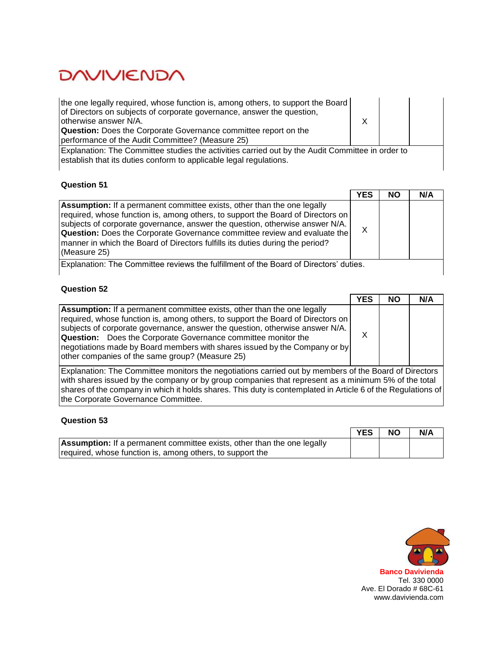| the one legally required, whose function is, among others, to support the Board<br>of Directors on subjects of corporate governance, answer the question,<br>otherwise answer N/A.<br><b>Question:</b> Does the Corporate Governance committee report on the<br>performance of the Audit Committee? (Measure 25) |  |  |
|------------------------------------------------------------------------------------------------------------------------------------------------------------------------------------------------------------------------------------------------------------------------------------------------------------------|--|--|
| Explanation: The Committee studies the activities carried out by the Audit Committee in order to<br>establish that its duties conform to applicable legal regulations.                                                                                                                                           |  |  |

#### **Question 51**

|                                                                                                                                                                                                                                                                                                                                                                                                                                        | <b>YES</b> | <b>NO</b> | N/A |
|----------------------------------------------------------------------------------------------------------------------------------------------------------------------------------------------------------------------------------------------------------------------------------------------------------------------------------------------------------------------------------------------------------------------------------------|------------|-----------|-----|
| <b>Assumption:</b> If a permanent committee exists, other than the one legally<br>required, whose function is, among others, to support the Board of Directors on<br>subjects of corporate governance, answer the question, otherwise answer N/A.<br><b>Question:</b> Does the Corporate Governance committee review and evaluate the<br>manner in which the Board of Directors fulfills its duties during the period?<br>(Measure 25) |            |           |     |
| $\Gamma$ Cynlonation: The Committee reviewe the fulfillment of the Deard of Directors' duties.                                                                                                                                                                                                                                                                                                                                         |            |           |     |

Explanation: The Committee reviews the fulfillment of the Board of Directors' duties.

# **Question 52**

|                                                                                                                                                                                                                                                                                                                                                                                                                                                            | <b>YES</b> | <b>NO</b> | N/A |
|------------------------------------------------------------------------------------------------------------------------------------------------------------------------------------------------------------------------------------------------------------------------------------------------------------------------------------------------------------------------------------------------------------------------------------------------------------|------------|-----------|-----|
| <b>Assumption:</b> If a permanent committee exists, other than the one legally<br>required, whose function is, among others, to support the Board of Directors on<br>subjects of corporate governance, answer the question, otherwise answer N/A.<br><b>Question:</b> Does the Corporate Governance committee monitor the<br>negotiations made by Board members with shares issued by the Company or by<br>other companies of the same group? (Measure 25) |            |           |     |
| Explanation: The Committee monitors the negotiations carried out by members of the Board of Directors<br>with shares issued by the company or by group companies that represent as a minimum 5% of the total<br>shares of the company in which it holds shares. This duty is contemplated in Article 6 of the Regulations of                                                                                                                               |            |           |     |

the Corporate Governance Committee.

|                                                                                | <b>YES</b> | <b>NO</b> | N/A |
|--------------------------------------------------------------------------------|------------|-----------|-----|
| <b>Assumption:</b> If a permanent committee exists, other than the one legally |            |           |     |
| required, whose function is, among others, to support the                      |            |           |     |

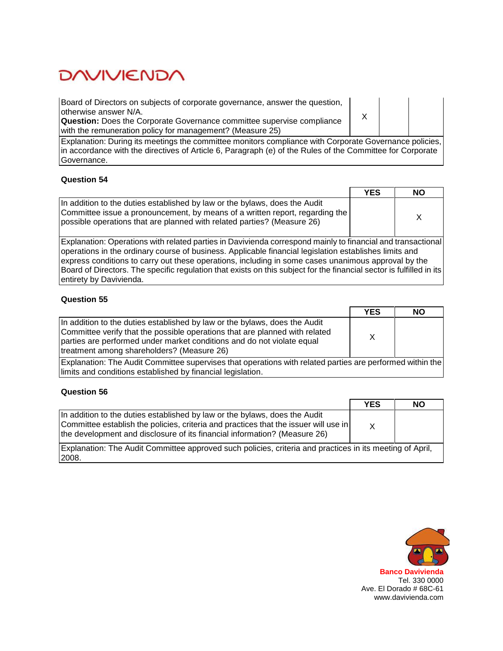Board of Directors on subjects of corporate governance, answer the question, otherwise answer N/A.

**Question:** Does the Corporate Governance committee supervise compliance with the remuneration policy for management? (Measure 25)

X

Explanation: During its meetings the committee monitors compliance with Corporate Governance policies, in accordance with the directives of Article 6, Paragraph (e) of the Rules of the Committee for Corporate Governance.

#### **Question 54**

|                                                                                                                                                                                                                                       | <b>YES</b> | <b>NO</b> |
|---------------------------------------------------------------------------------------------------------------------------------------------------------------------------------------------------------------------------------------|------------|-----------|
| In addition to the duties established by law or the bylaws, does the Audit<br>Committee issue a pronouncement, by means of a written report, regarding the<br>possible operations that are planned with related parties? (Measure 26) |            |           |

Explanation: Operations with related parties in Davivienda correspond mainly to financial and transactional operations in the ordinary course of business. Applicable financial legislation establishes limits and express conditions to carry out these operations, including in some cases unanimous approval by the Board of Directors. The specific regulation that exists on this subject for the financial sector is fulfilled in its entirety by Davivienda.

### **Question 55**

|                                                                                                                                                                                                                                                                                   | <b>YES</b> | <b>NO</b> |
|-----------------------------------------------------------------------------------------------------------------------------------------------------------------------------------------------------------------------------------------------------------------------------------|------------|-----------|
| In addition to the duties established by law or the bylaws, does the Audit<br>Committee verify that the possible operations that are planned with related<br>parties are performed under market conditions and do not violate equal<br>treatment among shareholders? (Measure 26) |            |           |

Explanation: The Audit Committee supervises that operations with related parties are performed within the limits and conditions established by financial legislation.

### **Question 56**

|                                                                                                                                                                                                                                                 | <b>YES</b> | <b>NO</b> |
|-------------------------------------------------------------------------------------------------------------------------------------------------------------------------------------------------------------------------------------------------|------------|-----------|
| In addition to the duties established by law or the bylaws, does the Audit<br>Committee establish the policies, criteria and practices that the issuer will use in<br>the development and disclosure of its financial information? (Measure 26) |            |           |
| Explanation: The Audit Committee approved such policies, criteria and practices in its meeting of April,<br>12008.                                                                                                                              |            |           |

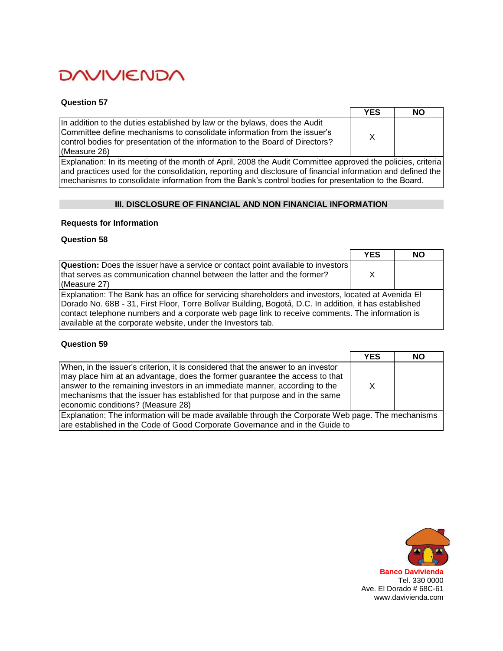#### **Question 57**

|                                                                                                                                                                                                                                                         | <b>YES</b> | <b>NO</b> |
|---------------------------------------------------------------------------------------------------------------------------------------------------------------------------------------------------------------------------------------------------------|------------|-----------|
| In addition to the duties established by law or the bylaws, does the Audit<br>Committee define mechanisms to consolidate information from the issuer's<br>control bodies for presentation of the information to the Board of Directors?<br>(Measure 26) |            |           |

Explanation: In its meeting of the month of April, 2008 the Audit Committee approved the policies, criteria and practices used for the consolidation, reporting and disclosure of financial information and defined the mechanisms to consolidate information from the Bank's control bodies for presentation to the Board.

## **III. DISCLOSURE OF FINANCIAL AND NON FINANCIAL INFORMATION**

#### **Requests for Information**

### **Question 58**

|                                                                                                                                                                                                                                                                                                                                                                                  | <b>YES</b> | <b>NO</b> |
|----------------------------------------------------------------------------------------------------------------------------------------------------------------------------------------------------------------------------------------------------------------------------------------------------------------------------------------------------------------------------------|------------|-----------|
| <b>Question:</b> Does the issuer have a service or contact point available to investors<br>that serves as communication channel between the latter and the former?<br>(Measure 27)                                                                                                                                                                                               | x          |           |
| Explanation: The Bank has an office for servicing shareholders and investors, located at Avenida El<br>Dorado No. 68B - 31, First Floor, Torre Bolívar Building, Bogotá, D.C. In addition, it has established<br>contact telephone numbers and a corporate web page link to receive comments. The information is<br>available at the corporate website, under the Investors tab. |            |           |

|                                                                                                                                                                                                                                                                                                                                                                   | <b>YES</b> | NΟ |
|-------------------------------------------------------------------------------------------------------------------------------------------------------------------------------------------------------------------------------------------------------------------------------------------------------------------------------------------------------------------|------------|----|
| When, in the issuer's criterion, it is considered that the answer to an investor<br>may place him at an advantage, does the former guarantee the access to that<br>answer to the remaining investors in an immediate manner, according to the<br>mechanisms that the issuer has established for that purpose and in the same<br>economic conditions? (Measure 28) | X          |    |
| Explanation: The information will be made available through the Corporate Web page. The mechanisms<br>are established in the Code of Good Corporate Governance and in the Guide to                                                                                                                                                                                |            |    |

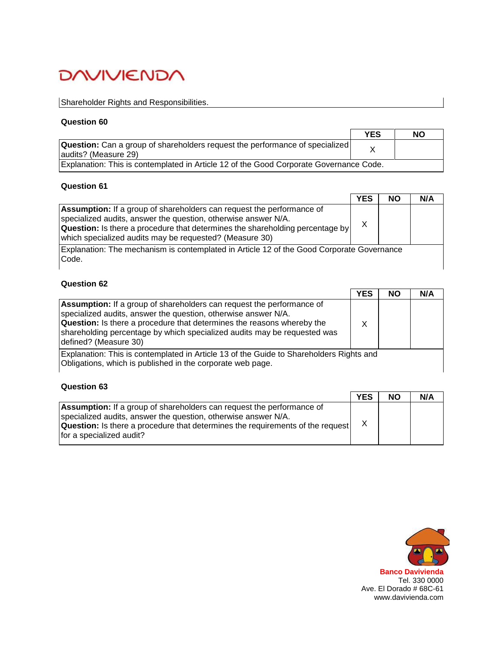# Shareholder Rights and Responsibilities.

#### **Question 60**

|                                                                                                              | <b>YES</b> | <b>NO</b> |
|--------------------------------------------------------------------------------------------------------------|------------|-----------|
| <b>Question:</b> Can a group of shareholders request the performance of specialized<br>laudits? (Measure 29) |            |           |
| Explanation: This is contemplated in Article 12 of the Good Corporate Governance Code.                       |            |           |

# **Question 61**

|                                                                                                                                                                                                                                                                                                   | <b>YES</b> | <b>NO</b> | N/A |
|---------------------------------------------------------------------------------------------------------------------------------------------------------------------------------------------------------------------------------------------------------------------------------------------------|------------|-----------|-----|
| <b>Assumption:</b> If a group of shareholders can request the performance of<br>specialized audits, answer the question, otherwise answer N/A.<br><b>Question:</b> Is there a procedure that determines the shareholding percentage by<br>which specialized audits may be requested? (Measure 30) | X          |           |     |
| Explanation: The mechanism is contemplated in Article 12 of the Good Corporate Governance<br>Code.                                                                                                                                                                                                |            |           |     |

# **Question 62**

|                                                                                                                                                                                                                                                                                                                                      | <b>YES</b> | <b>NO</b> | N/A |
|--------------------------------------------------------------------------------------------------------------------------------------------------------------------------------------------------------------------------------------------------------------------------------------------------------------------------------------|------------|-----------|-----|
| <b>Assumption:</b> If a group of shareholders can request the performance of<br>specialized audits, answer the question, otherwise answer N/A.<br><b>Question:</b> Is there a procedure that determines the reasons whereby the<br>shareholding percentage by which specialized audits may be requested was<br>defined? (Measure 30) |            |           |     |
| Explanation: This is contemplated in Article 13 of the Guide to Shareholders Rights and<br>Obligations, which is published in the corporate web page.                                                                                                                                                                                |            |           |     |

### **Question 63**

|                                                                                                                                                                                                                                                                     | <b>YES</b> | <b>NO</b> | N/A |
|---------------------------------------------------------------------------------------------------------------------------------------------------------------------------------------------------------------------------------------------------------------------|------------|-----------|-----|
| <b>Assumption:</b> If a group of shareholders can request the performance of<br>specialized audits, answer the question, otherwise answer N/A.<br><b>Question:</b> Is there a procedure that determines the requirements of the request<br>for a specialized audit? |            |           |     |

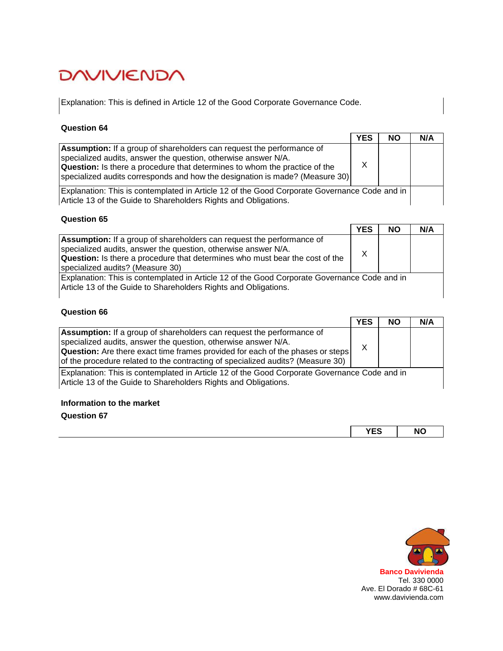Explanation: This is defined in Article 12 of the Good Corporate Governance Code.

## **Question 64**

|                                                                                                                                                                                                                                                                                                                     | <b>YES</b> | <b>NO</b> | N/A |
|---------------------------------------------------------------------------------------------------------------------------------------------------------------------------------------------------------------------------------------------------------------------------------------------------------------------|------------|-----------|-----|
| <b>Assumption:</b> If a group of shareholders can request the performance of<br>specialized audits, answer the question, otherwise answer N/A.<br><b>Question:</b> Is there a procedure that determines to whom the practice of the<br>specialized audits corresponds and how the designation is made? (Measure 30) | X          |           |     |
| Explanation: This is contemplated in Article 12 of the Good Corporate Governance Code and in<br>Article 13 of the Guide to Shareholders Rights and Obligations.                                                                                                                                                     |            |           |     |

### **Question 65**

|                                                                                                                                                                                                                                                                           | <b>YES</b> | NΟ | N/A |
|---------------------------------------------------------------------------------------------------------------------------------------------------------------------------------------------------------------------------------------------------------------------------|------------|----|-----|
| <b>Assumption:</b> If a group of shareholders can request the performance of<br>specialized audits, answer the question, otherwise answer N/A.<br><b>Question:</b> Is there a procedure that determines who must bear the cost of the<br>specialized audits? (Measure 30) | X          |    |     |
| Explanation: This is contemplated in Article 12 of the Good Corporate Governance Code and in<br>Article 13 of the Guide to Shareholders Rights and Obligations.                                                                                                           |            |    |     |

# **Question 66**

|                                                                                                                                                                                                                                                                                                                            | <b>YES</b> | <b>NO</b> | N/A |
|----------------------------------------------------------------------------------------------------------------------------------------------------------------------------------------------------------------------------------------------------------------------------------------------------------------------------|------------|-----------|-----|
| <b>Assumption:</b> If a group of shareholders can request the performance of<br>specialized audits, answer the question, otherwise answer N/A.<br><b>Question:</b> Are there exact time frames provided for each of the phases or steps<br>of the procedure related to the contracting of specialized audits? (Measure 30) | x          |           |     |
| Explanation: This is contemplated in Article 12 of the Good Corporate Governance Code and in<br>Article 13 of the Guide to Shareholders Rights and Obligations.                                                                                                                                                            |            |           |     |
| Information to the market                                                                                                                                                                                                                                                                                                  |            |           |     |

| ,,,,<br>. .<br>י∟י | <b>NC</b><br>____ |
|--------------------|-------------------|

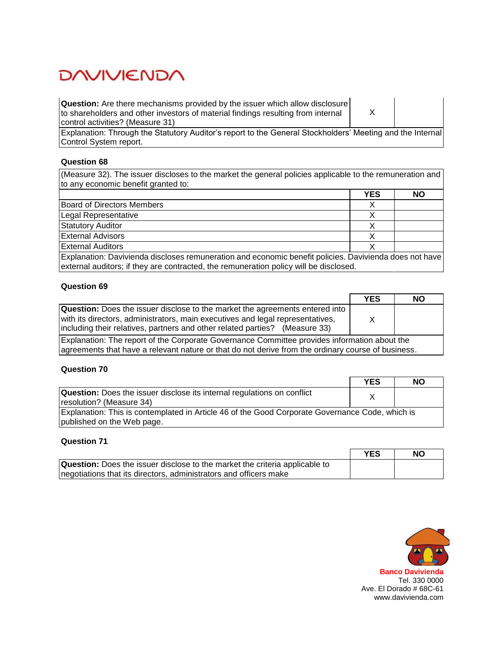**Question:** Are there mechanisms provided by the issuer which allow disclosure to shareholders and other investors of material findings resulting from internal control activities? (Measure 31)

X

Explanation: Through the Statutory Auditor's report to the General Stockholders' Meeting and the Internal Control System report.

### **Question 68**

(Measure 32). The issuer discloses to the market the general policies applicable to the remuneration and to any economic benefit granted to:

|                                                                                                        | <b>YES</b> | <b>NO</b> |
|--------------------------------------------------------------------------------------------------------|------------|-----------|
| Board of Directors Members                                                                             |            |           |
| Legal Representative                                                                                   |            |           |
| <b>Statutory Auditor</b>                                                                               |            |           |
| <b>External Advisors</b>                                                                               |            |           |
| <b>External Auditors</b>                                                                               |            |           |
| Explanation: Davivienda discloses remuneration and economic benefit policies. Davivienda does not have |            |           |

external auditors; if they are contracted, the remuneration policy will be disclosed.

#### **Question 69**

|                                                                                                                                                                                                                                                                                                                                 | <b>YES</b> | <b>NO</b> |
|---------------------------------------------------------------------------------------------------------------------------------------------------------------------------------------------------------------------------------------------------------------------------------------------------------------------------------|------------|-----------|
| <b>Question:</b> Does the issuer disclose to the market the agreements entered into<br>with its directors, administrators, main executives and legal representatives,<br>including their relatives, partners and other related parties? (Measure 33)                                                                            |            |           |
| Explanation: The report of the Corporate Governance Committee provides information about the<br>$\sim$ . The contract of the contract of the contract of the contract of the contract of the contract of the contract of the contract of the contract of the contract of the contract of the contract of the contract of the co |            |           |

agreements that have a relevant nature or that do not derive from the ordinary course of business.

#### **Question 70**

|                                                                                                                               | <b>YES</b> | <b>NO</b> |
|-------------------------------------------------------------------------------------------------------------------------------|------------|-----------|
| <b>Question:</b> Does the issuer disclose its internal regulations on conflict<br>resolution? (Measure 34)                    |            |           |
| Explanation: This is contemplated in Article 46 of the Good Corporate Governance Code, which is<br>published on the Web page. |            |           |

|                                                                                    | <b>YES</b> | NΟ |
|------------------------------------------------------------------------------------|------------|----|
| <b>Question:</b> Does the issuer disclose to the market the criteria applicable to |            |    |
| negotiations that its directors, administrators and officers make                  |            |    |

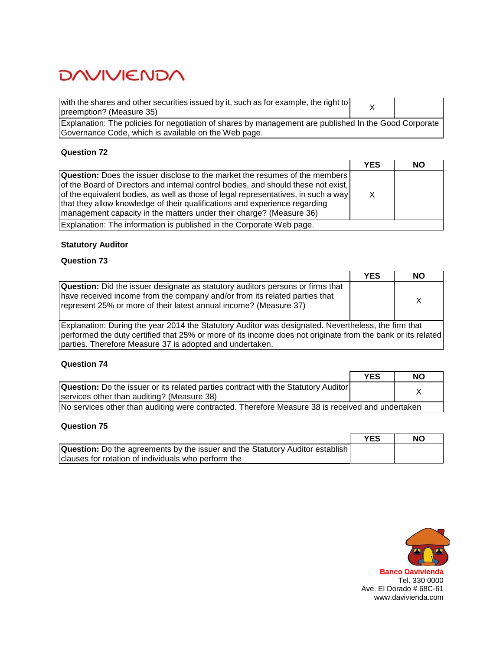| with the shares and other securities issued by it, such as for example, the right to<br>preemption? (Measure 35)                                              |  |
|---------------------------------------------------------------------------------------------------------------------------------------------------------------|--|
| Explanation: The policies for negotiation of shares by management are published In the Good Corporate<br>Governance Code, which is available on the Web page. |  |

# **Question 72**

|                                                                                                                                                                                                                                                                                                                                                                                                                      | <b>YES</b> | <b>NO</b> |
|----------------------------------------------------------------------------------------------------------------------------------------------------------------------------------------------------------------------------------------------------------------------------------------------------------------------------------------------------------------------------------------------------------------------|------------|-----------|
| <b>Question:</b> Does the issuer disclose to the market the resumes of the members<br>of the Board of Directors and internal control bodies, and should these not exist,<br>of the equivalent bodies, as well as those of legal representatives, in such a way<br>that they allow knowledge of their qualifications and experience regarding<br>Imanagement capacity in the matters under their charge? (Measure 36) |            |           |
| Explanation: The information is published in the Corporate Web page.                                                                                                                                                                                                                                                                                                                                                 |            |           |

# **Statutory Auditor**

### **Question 73**

|                                                                                                                                                                                                                                                                                | YES | <b>NO</b> |
|--------------------------------------------------------------------------------------------------------------------------------------------------------------------------------------------------------------------------------------------------------------------------------|-----|-----------|
| <b>Question:</b> Did the issuer designate as statutory auditors persons or firms that<br>have received income from the company and/or from its related parties that<br>represent 25% or more of their latest annual income? (Measure 37)                                       |     | x         |
| Explanation: During the year 2014 the Statutory Auditor was designated. Nevertheless, the firm that<br>performed the duty certified that 25% or more of its income does not originate from the bank or its related<br>parties. Therefore Measure 37 is adopted and undertaken. |     |           |

# **Question 74**

|                                                                                                  | <b>YES</b> | <b>NO</b> |
|--------------------------------------------------------------------------------------------------|------------|-----------|
| <b>Question:</b> Do the issuer or its related parties contract with the Statutory Auditor        |            |           |
| services other than auditing? (Measure 38)                                                       |            |           |
| No services other than auditing were contracted. Therefore Measure 38 is received and undertaken |            |           |

|                                                                                      | <b>YES</b> | <b>NO</b> |
|--------------------------------------------------------------------------------------|------------|-----------|
| <b>Question:</b> Do the agreements by the issuer and the Statutory Auditor establish |            |           |
| clauses for rotation of individuals who perform the                                  |            |           |

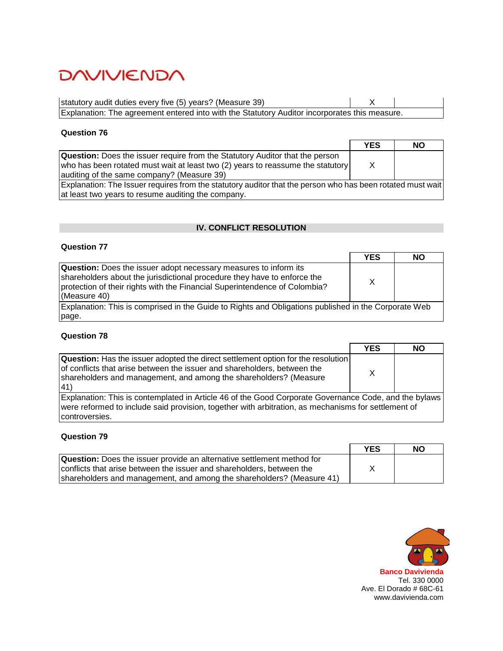| statutory audit duties every five (5) years? (Measure 39)  $\overline{X}$ Explanation: The agreement entered into with the Statutory Auditor incorporates this measure.

## **Question 76**

|                                                                                                            | <b>YES</b> | <b>NO</b> |
|------------------------------------------------------------------------------------------------------------|------------|-----------|
| <b>Question:</b> Does the issuer require from the Statutory Auditor that the person                        |            |           |
| who has been rotated must wait at least two (2) years to reassume the statutory                            | $\times$   |           |
| auditing of the same company? (Measure 39)                                                                 |            |           |
| Explanation: The Issuer requires from the statutory auditor that the person who has been rotated must wait |            |           |
| at least two years to resume auditing the company.                                                         |            |           |

## **IV. CONFLICT RESOLUTION**

## **Question 77**

|                                                                                                                                                                                                                                                   | <b>YES</b> | NΟ |
|---------------------------------------------------------------------------------------------------------------------------------------------------------------------------------------------------------------------------------------------------|------------|----|
| <b>Question:</b> Does the issuer adopt necessary measures to inform its<br>shareholders about the jurisdictional procedure they have to enforce the<br>protection of their rights with the Financial Superintendence of Colombia?<br>(Measure 40) | $\times$   |    |
| Explanation: This is comprised in the Guide to Rights and Obligations published in the Corporate Web                                                                                                                                              |            |    |
| page.                                                                                                                                                                                                                                             |            |    |

## **Question 78**

|                                                                                                                                                                                                                                                 | <b>YES</b> | <b>NO</b> |
|-------------------------------------------------------------------------------------------------------------------------------------------------------------------------------------------------------------------------------------------------|------------|-----------|
| <b>Question:</b> Has the issuer adopted the direct settlement option for the resolution<br>of conflicts that arise between the issuer and shareholders, between the<br>shareholders and management, and among the shareholders? (Measure<br>(41 | X          |           |
| Explanation: This is contemplated in Article 46 of the Good Corporate Governance Code, and the bylaws<br>were reformed to include said provision, together with arbitration, as mechanisms for settlement of<br>controversies.                  |            |           |

|                                                                               | <b>YES</b> | <b>NO</b> |
|-------------------------------------------------------------------------------|------------|-----------|
| <b>Question:</b> Does the issuer provide an alternative settlement method for |            |           |
| conflicts that arise between the issuer and shareholders, between the         |            |           |
| shareholders and management, and among the shareholders? (Measure 41)         |            |           |

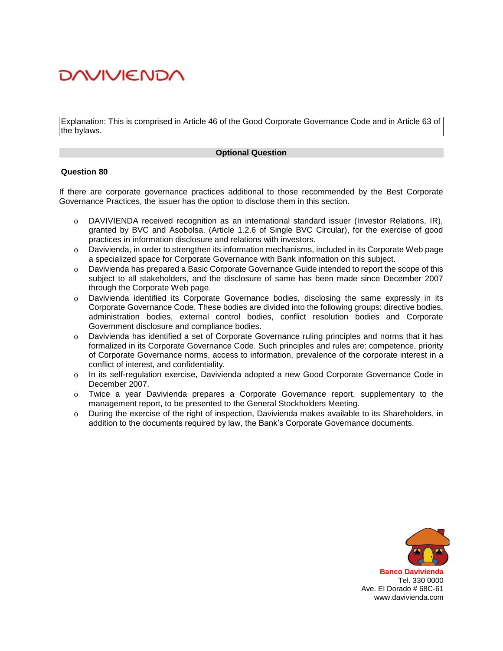Explanation: This is comprised in Article 46 of the Good Corporate Governance Code and in Article 63 of the bylaws.

#### **Optional Question**

#### **Question 80**

If there are corporate governance practices additional to those recommended by the Best Corporate Governance Practices, the issuer has the option to disclose them in this section.

- DAVIVIENDA received recognition as an international standard issuer (Investor Relations, IR), granted by BVC and Asobolsa. (Article 1.2.6 of Single BVC Circular), for the exercise of good practices in information disclosure and relations with investors.
- Davivienda, in order to strengthen its information mechanisms, included in its Corporate Web page a specialized space for Corporate Governance with Bank information on this subject.
- Davivienda has prepared a Basic Corporate Governance Guide intended to report the scope of this subject to all stakeholders, and the disclosure of same has been made since December 2007 through the Corporate Web page.
- Davivienda identified its Corporate Governance bodies, disclosing the same expressly in its Corporate Governance Code. These bodies are divided into the following groups: directive bodies, administration bodies, external control bodies, conflict resolution bodies and Corporate Government disclosure and compliance bodies.
- Davivienda has identified a set of Corporate Governance ruling principles and norms that it has formalized in its Corporate Governance Code. Such principles and rules are: competence, priority of Corporate Governance norms, access to information, prevalence of the corporate interest in a conflict of interest, and confidentiality.
- In its self-regulation exercise, Davivienda adopted a new Good Corporate Governance Code in December 2007.
- Twice a year Davivienda prepares a Corporate Governance report, supplementary to the management report, to be presented to the General Stockholders Meeting.
- During the exercise of the right of inspection, Davivienda makes available to its Shareholders, in addition to the documents required by law, the Bank's Corporate Governance documents.



**Banco Davivienda** Tel. 330 0000 Ave. El Dorado # 68C-61 www.davivienda.com